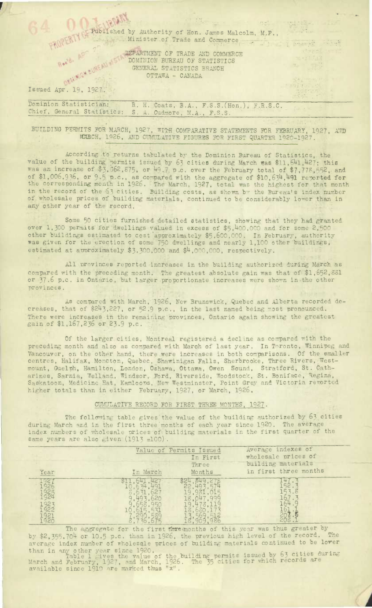Published by Authority of Hon. James Malcolm, M.P., Minister of Trade and Commerce

 $\mathcal{O}(\sigma^2)$  .

in 1980.

Energeter

ARTMENT OF TRADE AND COMMERCE DOMINION BUREAU OF STATISTICS GENERAL STATISTICS BRANCH OTTAWA - CANADA

Issued Apr. 19, 1927.:

Dominion Statistician. R. H. Coats, B.A., F.S.S.(Hon.), F.R.S.C. Chief, General Statistics: S. A. Cudmore, M.A., F.S.S.

BUILDING PERMITS FOR MARCH, 1927, WITH COMPARATIVE STATEMENTS FOR FEBRUARY, 1927, AND NABCH, 1926, AND CUMULATIVE FIGURES FOR FIRST QUARTER 1920-1927.

According. to returns tabulated by the Dominion Bureau of Statistics, the value of the building permits issued by 63 cities during March was \$11,641,427; this was an increase of  $$3,562,875$ , or 49.7 p.c. over the February total of  $$7,778,552$ , and of \$1,006,936, or 9.5 p.c., as compared with the aggregate of  $$10,634,491$  reported for the corresponding month in 1926. The March, 1927, total was the highest for that month in the record of the 53 cities. Building costs, as shown by the Bureau's index number of wholesale prices of building materials, continued to be considerably lower than in any other year of the record.

Some 50 cities furnished detailed statistics, showing that they had granted over 1,300 permits for dwellings valued in excess of \$5,400,000 and for some 2,500 other buildings estimated to cost approximately \$5,600,000. In February, authority was given for the erection of some 750 dwellings and nearly 1,100 other buildings, estimated at approximately  $$3,300,000$  and  $$4,000,000$ , respectively.

All provinces reported increases in the building authorized during March as compared with the preceding month. The greatest absolute gain was that of \$1,652,881 or 37.6 p.c. in Ontario, but larger proportionate increases were shown in the other provinces.

As comDared with March, 1926, New Brunswick, Quebec and Alberta recorded decreases, that of  $$243,227$ , or  $52.9$  p.c., in the last named being most pronounced. There were increases in the remaining provinces, Ontario again showing the greatest gain of \$1,167,236 or 23.9 p.c.

Of the larger cities, Montreal registered a decline as compared with the preceding month and also as compared with March of last year. In Toronto, Winnipeg and Vancouver, on the other hand, there were increases in both comparisons. Of the smaller centres, Halifax, Moncton, Quebec, Shawinigan Falls, Sherbrooke, Three Rivers, Westmount, Guelph, Hamilton, London, Oshawa, Ottawa, Owen Sound, Stratford, St. Catharines, Sarnia, Welland, Windsor, Ford, Riverside, Woodstock, St. Boniface, Regina, Saskatoon, Medicine Hat, Kamloops, New Westminster, Point Grey and Victoria reported higher totals than in either February, 1927, or March, 1926.

## CUMULATIVE RECORD FOR FIRST THREE MONTHS, 1927.

The following table gives the value of the building authorized by 63 cities during March and in the first three months of each year since 1920. The average index numbers of wholesale prices of building materials in the first quarter of the same years are also  $\varepsilon$ iven (1913 =100).

|      | Value of Permits Issued |          | Average indexes of    |
|------|-------------------------|----------|-----------------------|
|      |                         | In First | wholesale prices of   |
|      |                         | Three    | building materials    |
| Year | In March                | Months   | in first three months |
|      |                         |          |                       |
|      |                         |          |                       |
|      |                         |          |                       |

The aggregate for the first threemonths of this year was thus greater by by \$2,355,704 or 10.5 p.c. than in 1926, the previous high level of the record. average index number of wholesgle prices of building materials continued to be lower

than in any other year since 1920.<br>Table 1 gives the value of the building permits issued by 63 cities during March and February, 1927, and March, 1926. The 35 cities for which records are available since 1910 are marked thus "x"